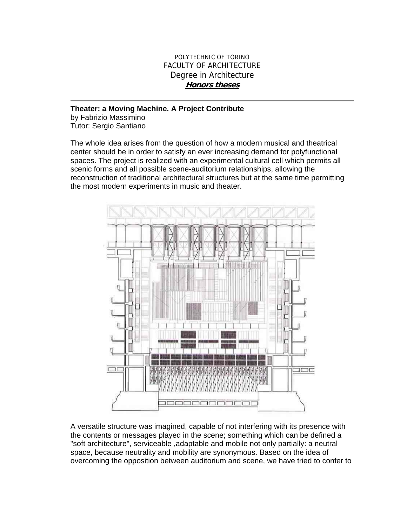## POLYTECHNIC OF TORINO FACULTY OF ARCHITECTURE Degree in Architecture **Honors theses**

## **Theater: a Moving Machine. A Project Contribute**

by Fabrizio Massimino Tutor: Sergio Santiano

The whole idea arises from the question of how a modern musical and theatrical center should be in order to satisfy an ever increasing demand for polyfunctional spaces. The project is realized with an experimental cultural cell which permits all scenic forms and all possible scene-auditorium relationships, allowing the reconstruction of traditional architectural structures but at the same time permitting the most modern experiments in music and theater.



A versatile structure was imagined, capable of not interfering with its presence with the contents or messages played in the scene; something which can be defined a "soft architecture", serviceable ,adaptable and mobile not only partially: a neutral space, because neutrality and mobility are synonymous. Based on the idea of overcoming the opposition between auditorium and scene, we have tried to confer to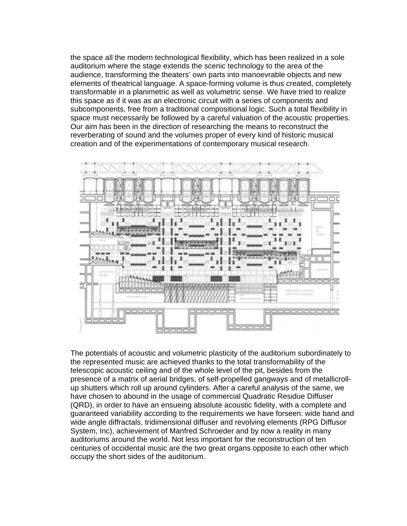the space all the modern technological flexibility, which has been realized in a sole auditorium where the stage extends the scenic technology to the area of the audience, transforming the theaters' own parts into manoevrable objects and new elements of theatrical language. A space-forming volume is thus created, completely transformable in a planimetric as well as volumetric sense. We have tried to realize this space as if it was as an electronic circuit with a series of components and subcomponents, free from a traditional compositional logic. Such a total flexibility in space must necessarily be followed by a careful valuation of the acoustic properties. Our aim has been in the direction of researching the means to reconstruct the reverberating of sound and the volumes proper of every kind of historic musical creation and of the experimentations of contemporary musical research.



The potentials of acoustic and volumetric plasticity of the auditorium subordinately to the represented music are achieved thanks to the total transformability of the telescopic acoustic ceiling and of the whole level of the pit, besides from the presence of a matrix of aerial bridges, of self-propelled gangways and of metallicrollup shutters which roll up around cylinders. After a careful analysis of the same, we have chosen to abound in the usage of commercial Quadratic Residue Diffuser (QRD), in order to have an ensueing absolute acoustic fidelity, with a complete and guaranteed variability according to the requirements we have forseen: wide band and wide angle diffractals, tridimensional diffuser and revolving elements (RPG Diffusor System, Inc), achievement of Manfred Schroeder and by now a reality in many auditoriums around the world. Not less important for the reconstruction of ten centuries of occidental music are the two great organs opposite to each other which occupy the short sides of the auditorium.